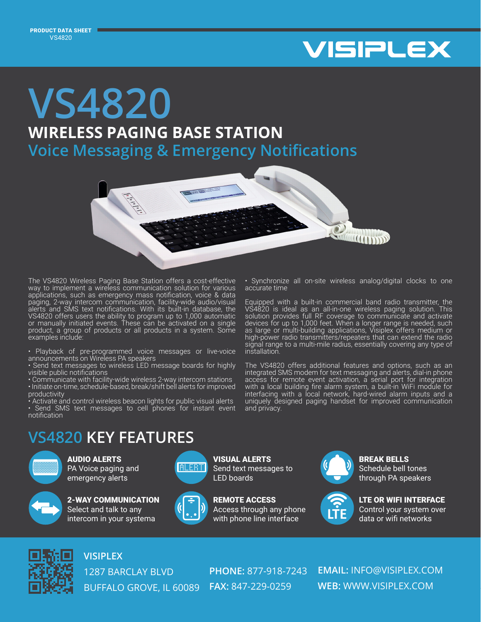

## **WIRELESS PAGING BASE STATION VS4820 Voice Messaging & Emergency Notifications**



The VS4820 Wireless Paging Base Station offers a cost-effective way to implement a wireless communication solution for various applications, such as emergency mass notification, voice & data paging, 2-way intercom communication, facility-wide audio/visual alerts and SMS text notifications. With its built-in database, the VS4820 offers users the ability to program up to 1,000 automatic or manually initiated events. These can be activated on a single product, a group of products or all products in a system. Some examples include:

• Playback of pre-programmed voice messages or live-voice announcements on Wireless PA speakers

• Send text messages to wireless LED message boards for highly visible public notifications

• Communicate with facility-wide wireless 2-way intercom stations • Initiate on-time, schedule-based, break/shift bell alerts for improved productivity

• Activate and control wireless beacon lights for public visual alerts • Send SMS text messages to cell phones for instant event notification

• Synchronize all on-site wireless analog/digital clocks to one accurate time

Equipped with a built-in commercial band radio transmitter, the VS4820 is ideal as an all-in-one wireless paging solution. This solution provides full RF coverage to communicate and activate devices for up to 1,000 feet. When a longer range is needed, such as large or multi-building applications, Visiplex offers medium or high-power radio transmitters/repeaters that can extend the radio signal range to a multi-mile radius, essentially covering any type of installation.

The VS4820 offers additional features and options, such as an integrated SMS modem for text messaging and alerts, dial-in phone access for remote event activation, a serial port for integration with a local building fire alarm system, a built-in WiFi module for interfacing with a local network, hard-wired alarm inputs and a uniquely designed paging handset for improved communication and privacy.

## **VS4820 KEY FEATURES**



AUDIO ALERTS PA Voice paging and emergency alerts



2-WAY COMMUNICATION Select and talk to any intercom in your systema





VISUAL ALERTS





LTE OR WIFI INTERFACE through PA speakers

BREAK BELLS Schedule bell tones

Control your system over data or wifi networks



## **VISIPLEX**

1287 BARCLAY BLVD BUFFALO GROVE, IL 60089 **FAX:** 847-229-0259

**PHONE:** 877-918-7243

**EMAIL:** INFO@VISIPLEX.COM **WEB:** WWW.VISIPLEX.COM